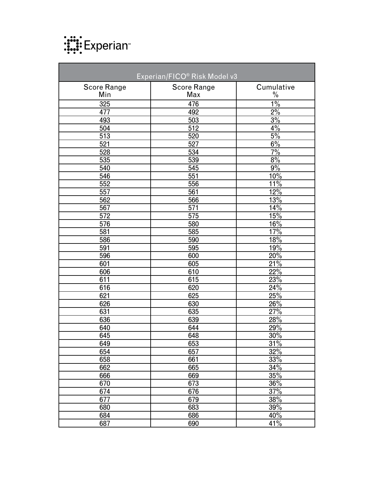

| Experian/FICO® Risk Model v3 |                    |                  |  |
|------------------------------|--------------------|------------------|--|
| <b>Score Range</b>           | <b>Score Range</b> | Cumulative       |  |
| Min                          | Max                | $\frac{0}{0}$    |  |
| 325                          | 476                | $1\%$            |  |
| 477                          | 492                | $2\%$            |  |
| 493                          | 503                | 3%               |  |
| 504                          | 512                | $4\%$            |  |
| 513                          | 520                | 5%               |  |
| 521                          | 527                | 6%               |  |
| 528                          | 534                | $7\%$            |  |
| 535                          | 539                | 8%               |  |
| 540                          | 545                | 9%               |  |
| 546                          | 551                | 10%              |  |
| 552                          | 556                | 11%              |  |
| 557                          | 561                | 12%              |  |
| 562                          | 566                | 13%              |  |
| 567                          | 571                | 14%              |  |
| 572                          | 575                | 15%              |  |
| 576                          | 580                | 16%              |  |
| 581                          | 585                | 17%              |  |
| 586                          | 590                | 18%              |  |
| 591                          | 595                | 19%              |  |
| 596                          | 600                | 20%              |  |
| 601                          | 605                | 21%              |  |
| 606                          | 610                | 22%              |  |
| 611                          | 615                | 23%              |  |
| 616                          | 620                | 24%              |  |
| 621                          | 625                | 25%              |  |
| 626                          | 630                | 26%              |  |
| 631                          | 635                | 27%              |  |
| 636                          | 639                | 28%              |  |
| 640                          | 644                | 29%              |  |
| 645                          | 648                | 30%              |  |
| 649                          | 653                | 31%              |  |
| 654                          | 657                | 32%              |  |
| 658                          | 661                | 33%              |  |
| 662                          | 665                | 34%              |  |
| 666                          | 669                | 35%              |  |
| 670                          | 673                | 36%              |  |
| 674                          | 676                | $\frac{37\%}{ }$ |  |
| 677                          | 679                | 38%              |  |
| 680                          | 683                | 39%              |  |
| 684                          | 686                | 40%              |  |
| 687                          | 690                | 41%              |  |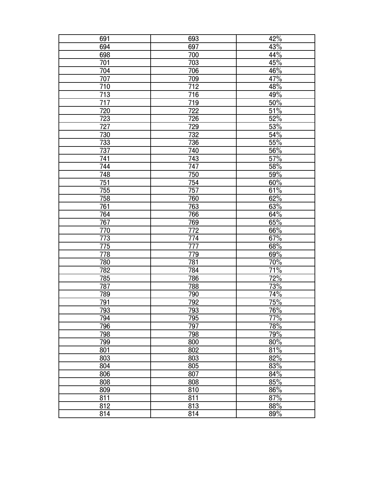| 691        | 693             | 42% |
|------------|-----------------|-----|
| 694        | 697             | 43% |
| 698        | 700             | 44% |
| 701        | 703             | 45% |
| 704        | 706             | 46% |
| 707        | 709             | 47% |
| 710        | 712             | 48% |
| 713        | 716             | 49% |
| 717        | 719             | 50% |
| 720        | $\frac{1}{722}$ | 51% |
| <u>723</u> | <u>726</u>      | 52% |
| 727        | 729             | 53% |
| 730        | 732             | 54% |
| 733        | 736             | 55% |
| 737        | 740             | 56% |
| 741        | 743             | 57% |
| 744        | 747             | 58% |
| 748        | 750             | 59% |
| 751        | 754             | 60% |
| 755        | 757             | 61% |
| 758        | 760             | 62% |
| 761        | 763             | 63% |
| 764        | 766             | 64% |
| 767        | 769             | 65% |
| 770        | 772             | 66% |
| 773        | 774             | 67% |
| 775        | 777             | 68% |
| 778        | 779             | 69% |
| 780        | 781             | 70% |
| 782        | 784             | 71% |
| 785        | 786             | 72% |
| 787        | 788             | 73% |
| 789        | 790             | 74% |
| 791        | <u>792</u>      | 75% |
| 793        | 793             | 76% |
| 794        | 795             | 77% |
| 796        | 797             | 78% |
| 798        | 798             | 79% |
| 799        | 800             | 80% |
| 801        | 802             | 81% |
| 803        | 803             | 82% |
| 804        | 805             | 83% |
| 806        | 807             | 84% |
| 808        | 808             | 85% |
| 809        | 810             | 86% |
| 811        | 811             | 87% |
| 812        | 813             | 88% |
| 814        | 814             | 89% |